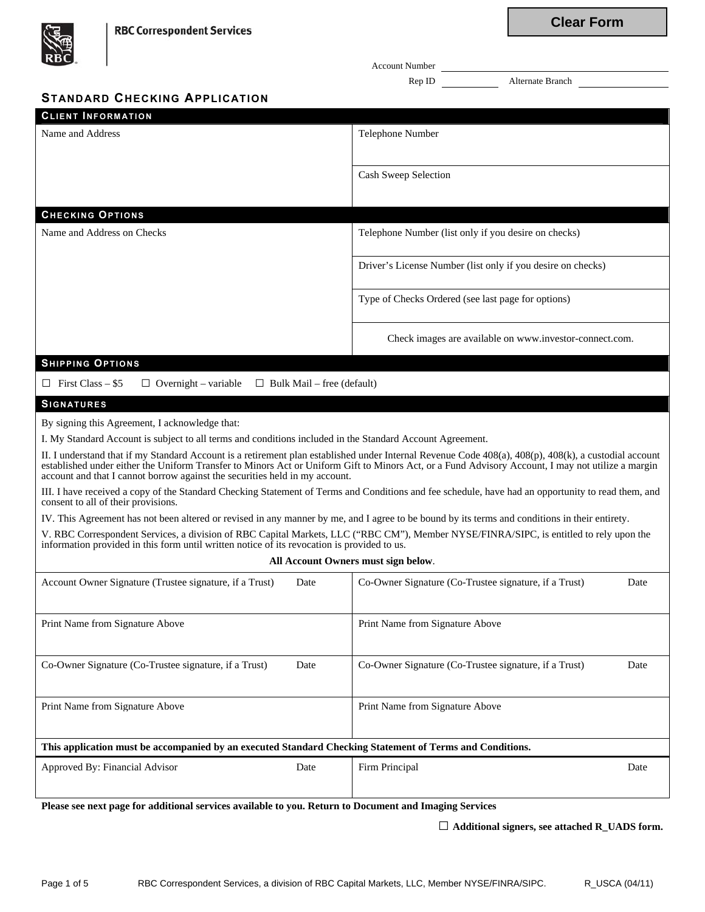| $R\overrightarrow{BC}$                                                                                                                                                                                                                                                                                                                                                                    | <b>Account Number</b>                                         |  |  |
|-------------------------------------------------------------------------------------------------------------------------------------------------------------------------------------------------------------------------------------------------------------------------------------------------------------------------------------------------------------------------------------------|---------------------------------------------------------------|--|--|
|                                                                                                                                                                                                                                                                                                                                                                                           | Alternate Branch<br>Rep ID                                    |  |  |
| <b>STANDARD CHECKING APPLICATION</b>                                                                                                                                                                                                                                                                                                                                                      |                                                               |  |  |
| <b>CLIENT INFORMATION</b>                                                                                                                                                                                                                                                                                                                                                                 |                                                               |  |  |
| Name and Address                                                                                                                                                                                                                                                                                                                                                                          | Telephone Number                                              |  |  |
|                                                                                                                                                                                                                                                                                                                                                                                           | Cash Sweep Selection                                          |  |  |
|                                                                                                                                                                                                                                                                                                                                                                                           |                                                               |  |  |
| <b>CHECKING OPTIONS</b>                                                                                                                                                                                                                                                                                                                                                                   |                                                               |  |  |
| Name and Address on Checks                                                                                                                                                                                                                                                                                                                                                                | Telephone Number (list only if you desire on checks)          |  |  |
|                                                                                                                                                                                                                                                                                                                                                                                           | Driver's License Number (list only if you desire on checks)   |  |  |
|                                                                                                                                                                                                                                                                                                                                                                                           | Type of Checks Ordered (see last page for options)            |  |  |
|                                                                                                                                                                                                                                                                                                                                                                                           | Check images are available on www.investor-connect.com.       |  |  |
| <b>SHIPPING OPTIONS</b>                                                                                                                                                                                                                                                                                                                                                                   |                                                               |  |  |
| $\Box$ First Class – \$5<br>$\Box$ Overnight – variable<br>$\Box$ Bulk Mail – free (default)                                                                                                                                                                                                                                                                                              |                                                               |  |  |
| <b>SIGNATURES</b>                                                                                                                                                                                                                                                                                                                                                                         |                                                               |  |  |
| By signing this Agreement, I acknowledge that:                                                                                                                                                                                                                                                                                                                                            |                                                               |  |  |
| I. My Standard Account is subject to all terms and conditions included in the Standard Account Agreement.                                                                                                                                                                                                                                                                                 |                                                               |  |  |
| II. I understand that if my Standard Account is a retirement plan established under Internal Revenue Code 408(a), 408(p), 408(k), a custodial account<br>established under either the Uniform Transfer to Minors Act or Uniform Gift to Minors Act, or a Fund Advisory Account, I may not utilize a margin<br>account and that I cannot borrow against the securities held in my account. |                                                               |  |  |
| III. I have received a copy of the Standard Checking Statement of Terms and Conditions and fee schedule, have had an opportunity to read them, and<br>consent to all of their provisions.                                                                                                                                                                                                 |                                                               |  |  |
| IV. This Agreement has not been altered or revised in any manner by me, and I agree to be bound by its terms and conditions in their entirety.                                                                                                                                                                                                                                            |                                                               |  |  |
| V. RBC Correspondent Services, a division of RBC Capital Markets, LLC ("RBC CM"), Member NYSE/FINRA/SIPC, is entitled to rely upon the<br>information provided in this form until written notice of its revocation is provided to us.                                                                                                                                                     |                                                               |  |  |
|                                                                                                                                                                                                                                                                                                                                                                                           | All Account Owners must sign below.                           |  |  |
| Account Owner Signature (Trustee signature, if a Trust)<br>Date                                                                                                                                                                                                                                                                                                                           | Co-Owner Signature (Co-Trustee signature, if a Trust)<br>Date |  |  |
| Print Name from Signature Above                                                                                                                                                                                                                                                                                                                                                           | Print Name from Signature Above                               |  |  |
| Co-Owner Signature (Co-Trustee signature, if a Trust)<br>Date                                                                                                                                                                                                                                                                                                                             | Co-Owner Signature (Co-Trustee signature, if a Trust)<br>Date |  |  |
| Print Name from Signature Above                                                                                                                                                                                                                                                                                                                                                           | Print Name from Signature Above                               |  |  |
| This application must be accompanied by an executed Standard Checking Statement of Terms and Conditions.                                                                                                                                                                                                                                                                                  |                                                               |  |  |
| Approved By: Financial Advisor<br>Date                                                                                                                                                                                                                                                                                                                                                    | Firm Principal<br>Date                                        |  |  |
|                                                                                                                                                                                                                                                                                                                                                                                           |                                                               |  |  |

**Please see next page for additional services available to you. Return to Document and Imaging Services**

**□ Additional signers, see attached R\_UADS form.**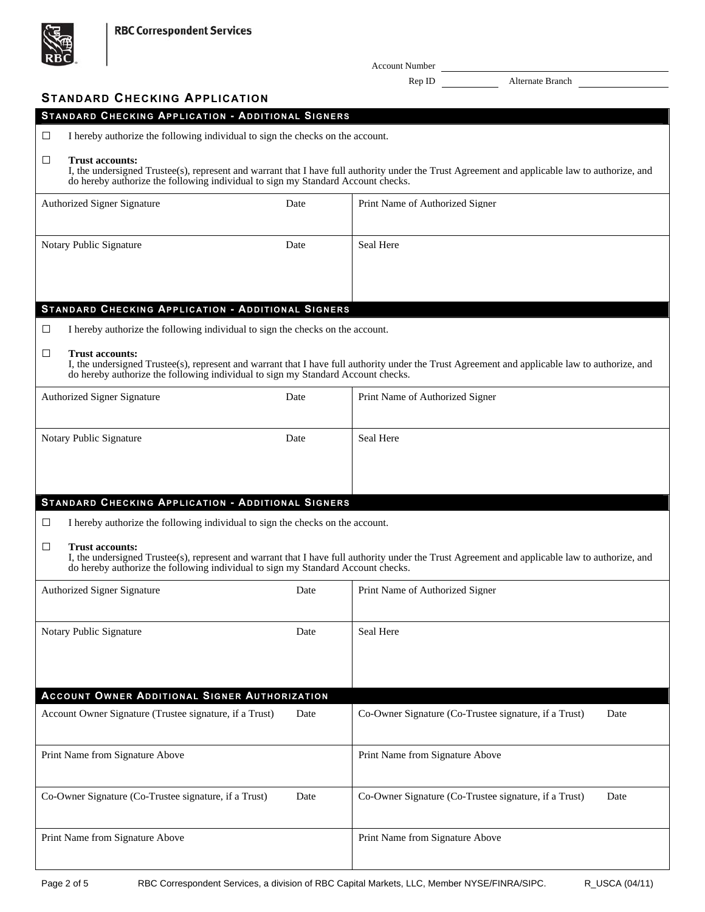

Account Number

Rep ID Alternate Branch

| <b>STANDARD CHECKING APPLICATION</b>                                                                                 |      |                                                                                                                                                |
|----------------------------------------------------------------------------------------------------------------------|------|------------------------------------------------------------------------------------------------------------------------------------------------|
| STANDARD CHECKING APPLICATION - ADDITIONAL SIGNERS                                                                   |      |                                                                                                                                                |
| $\Box$<br>I hereby authorize the following individual to sign the checks on the account.                             |      |                                                                                                                                                |
| $\Box$<br><b>Trust accounts:</b><br>do hereby authorize the following individual to sign my Standard Account checks. |      | I, the undersigned Trustee(s), represent and warrant that I have full authority under the Trust Agreement and applicable law to authorize, and |
| <b>Authorized Signer Signature</b>                                                                                   | Date | Print Name of Authorized Signer                                                                                                                |
| Notary Public Signature                                                                                              | Date | Seal Here                                                                                                                                      |
| STANDARD CHECKING APPLICATION - ADDITIONAL SIGNERS                                                                   |      |                                                                                                                                                |
| $\Box$<br>I hereby authorize the following individual to sign the checks on the account.                             |      |                                                                                                                                                |
| □<br><b>Trust accounts:</b><br>do hereby authorize the following individual to sign my Standard Account checks.      |      | I, the undersigned Trustee(s), represent and warrant that I have full authority under the Trust Agreement and applicable law to authorize, and |
| <b>Authorized Signer Signature</b>                                                                                   | Date | Print Name of Authorized Signer                                                                                                                |
| Notary Public Signature                                                                                              | Date | Seal Here                                                                                                                                      |
|                                                                                                                      |      |                                                                                                                                                |
| STANDARD CHECKING APPLICATION - ADDITIONAL SIGNERS                                                                   |      |                                                                                                                                                |
| I hereby authorize the following individual to sign the checks on the account.<br>⊔                                  |      |                                                                                                                                                |
| $\Box$<br><b>Trust accounts:</b><br>do hereby authorize the following individual to sign my Standard Account checks. |      | I, the undersigned Trustee(s), represent and warrant that I have full authority under the Trust Agreement and applicable law to authorize, and |
| <b>Authorized Signer Signature</b>                                                                                   | Date | Print Name of Authorized Signer                                                                                                                |
| Notary Public Signature                                                                                              | Date | Seal Here                                                                                                                                      |
|                                                                                                                      |      |                                                                                                                                                |
| ACCOUNT OWNER ADDITIONAL SIGNER AUTHORIZATION                                                                        |      |                                                                                                                                                |
| Account Owner Signature (Trustee signature, if a Trust)                                                              | Date | Co-Owner Signature (Co-Trustee signature, if a Trust)<br>Date                                                                                  |
| Print Name from Signature Above                                                                                      |      | Print Name from Signature Above                                                                                                                |
| Co-Owner Signature (Co-Trustee signature, if a Trust)                                                                | Date | Co-Owner Signature (Co-Trustee signature, if a Trust)<br>Date                                                                                  |
|                                                                                                                      |      |                                                                                                                                                |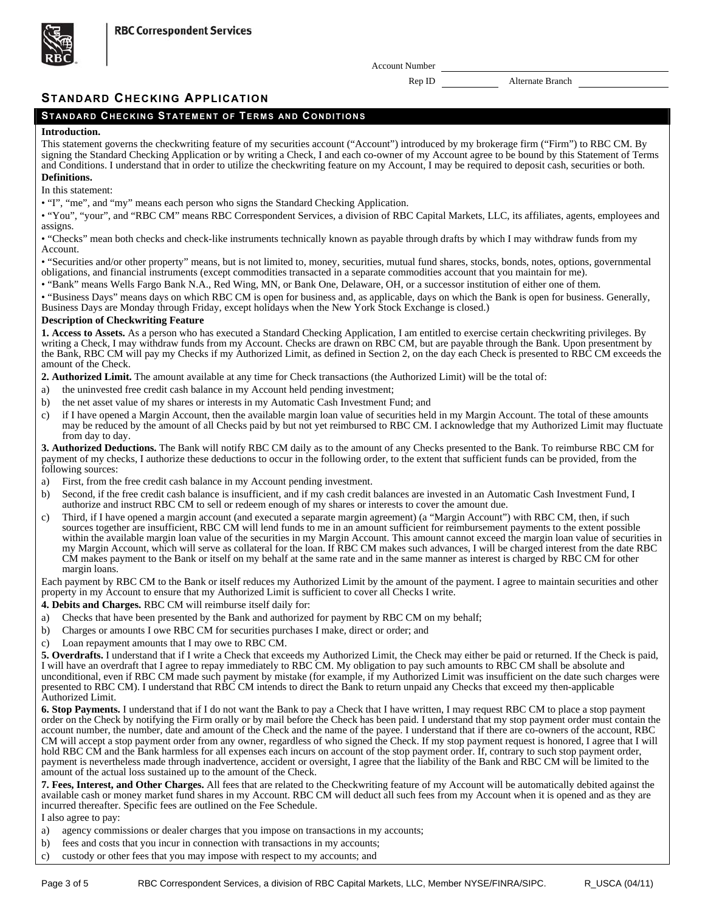

Account Number

Rep ID Alternate Branch

# **STANDARD CHECKING APPLICATION**

## **STANDARD CHECKING STATEMENT OF TERMS AND CONDITIONS**

## **Introduction.**

This statement governs the checkwriting feature of my securities account ("Account") introduced by my brokerage firm ("Firm") to RBC CM. By signing the Standard Checking Application or by writing a Check, I and each co-owner of my Account agree to be bound by this Statement of Terms and Conditions. I understand that in order to utilize the checkwriting feature on my Account, I may be required to deposit cash, securities or both.

## **Definitions.**

In this statement:

• "I", "me", and "my" means each person who signs the Standard Checking Application.

• "You", "your", and "RBC CM" means RBC Correspondent Services, a division of RBC Capital Markets, LLC, its affiliates, agents, employees and assigns.

• "Checks" mean both checks and check-like instruments technically known as payable through drafts by which I may withdraw funds from my Account.

• "Securities and/or other property" means, but is not limited to, money, securities, mutual fund shares, stocks, bonds, notes, options, governmental obligations, and financial instruments (except commodities transacted in a separate commodities account that you maintain for me).

• "Bank" means Wells Fargo Bank N.A., Red Wing, MN, or Bank One, Delaware, OH, or a successor institution of either one of them.

• "Business Days" means days on which RBC CM is open for business and, as applicable, days on which the Bank is open for business. Generally, Business Days are Monday through Friday, except holidays when the New York Stock Exchange is closed.)

### **Description of Checkwriting Feature**

**1. Access to Assets.** As a person who has executed a Standard Checking Application, I am entitled to exercise certain checkwriting privileges. By writing a Check, I may withdraw funds from my Account. Checks are drawn on RBC CM, but are payable through the Bank. Upon presentment by the Bank, RBC CM will pay my Checks if my Authorized Limit, as defined in Section 2, on the day each Check is presented to RBC CM exceeds the amount of the Check.

**2. Authorized Limit.** The amount available at any time for Check transactions (the Authorized Limit) will be the total of:

- a) the uninvested free credit cash balance in my Account held pending investment;
- b) the net asset value of my shares or interests in my Automatic Cash Investment Fund; and
- c) if I have opened a Margin Account, then the available margin loan value of securities held in my Margin Account. The total of these amounts may be reduced by the amount of all Checks paid by but not yet reimbursed to RBC CM. I acknowledge that my Authorized Limit may fluctuate from day to day.

**3. Authorized Deductions.** The Bank will notify RBC CM daily as to the amount of any Checks presented to the Bank. To reimburse RBC CM for payment of my checks, I authorize these deductions to occur in the following order, to the extent that sufficient funds can be provided, from the following sources:

- a) First, from the free credit cash balance in my Account pending investment.
- b) Second, if the free credit cash balance is insufficient, and if my cash credit balances are invested in an Automatic Cash Investment Fund, I authorize and instruct RBC CM to sell or redeem enough of my shares or interests to cover the amount due.
- c) Third, if I have opened a margin account (and executed a separate margin agreement) (a "Margin Account") with RBC CM, then, if such sources together are insufficient, RBC CM will lend funds to me in an amount sufficient for reimbursement payments to the extent possible within the available margin loan value of the securities in my Margin Account. This amount cannot exceed the margin loan value of securities in my Margin Account, which will serve as collateral for the loan. If RBC CM makes such advances, I will be charged interest from the date RBC CM makes payment to the Bank or itself on my behalf at the same rate and in the same manner as interest is charged by RBC CM for other margin loans.

Each payment by RBC CM to the Bank or itself reduces my Authorized Limit by the amount of the payment. I agree to maintain securities and other property in my Account to ensure that my Authorized Limit is sufficient to cover all Checks I write.

**4. Debits and Charges.** RBC CM will reimburse itself daily for:

- a) Checks that have been presented by the Bank and authorized for payment by RBC CM on my behalf;
- b) Charges or amounts I owe RBC CM for securities purchases I make, direct or order; and
- c) Loan repayment amounts that I may owe to RBC CM.

**5. Overdrafts.** I understand that if I write a Check that exceeds my Authorized Limit, the Check may either be paid or returned. If the Check is paid, I will have an overdraft that I agree to repay immediately to RBC CM. My obligation to pay such amounts to RBC CM shall be absolute and unconditional, even if RBC CM made such payment by mistake (for example, if my Authorized Limit was insufficient on the date such charges were presented to RBC CM). I understand that RBC CM intends to direct the Bank to return unpaid any Checks that exceed my then-applicable Authorized Limit.

**6. Stop Payments.** I understand that if I do not want the Bank to pay a Check that I have written, I may request RBC CM to place a stop payment order on the Check by notifying the Firm orally or by mail before the Check has been paid. I understand that my stop payment order must contain the account number, the number, date and amount of the Check and the name of the payee. I understand that if there are co-owners of the account, RBC CM will accept a stop payment order from any owner, regardless of who signed the Check. If my stop payment request is honored, I agree that I will hold RBC CM and the Bank harmless for all expenses each incurs on account of the stop payment order. If, contrary to such stop payment order, payment is nevertheless made through inadvertence, accident or oversight, I agree that the liability of the Bank and RBC CM will be limited to the amount of the actual loss sustained up to the amount of the Check.

**7. Fees, Interest, and Other Charges.** All fees that are related to the Checkwriting feature of my Account will be automatically debited against the available cash or money market fund shares in my Account. RBC CM will deduct all such fees from my Account when it is opened and as they are incurred thereafter. Specific fees are outlined on the Fee Schedule.

I also agree to pay:

- a) agency commissions or dealer charges that you impose on transactions in my accounts;
- b) fees and costs that you incur in connection with transactions in my accounts;
- c) custody or other fees that you may impose with respect to my accounts; and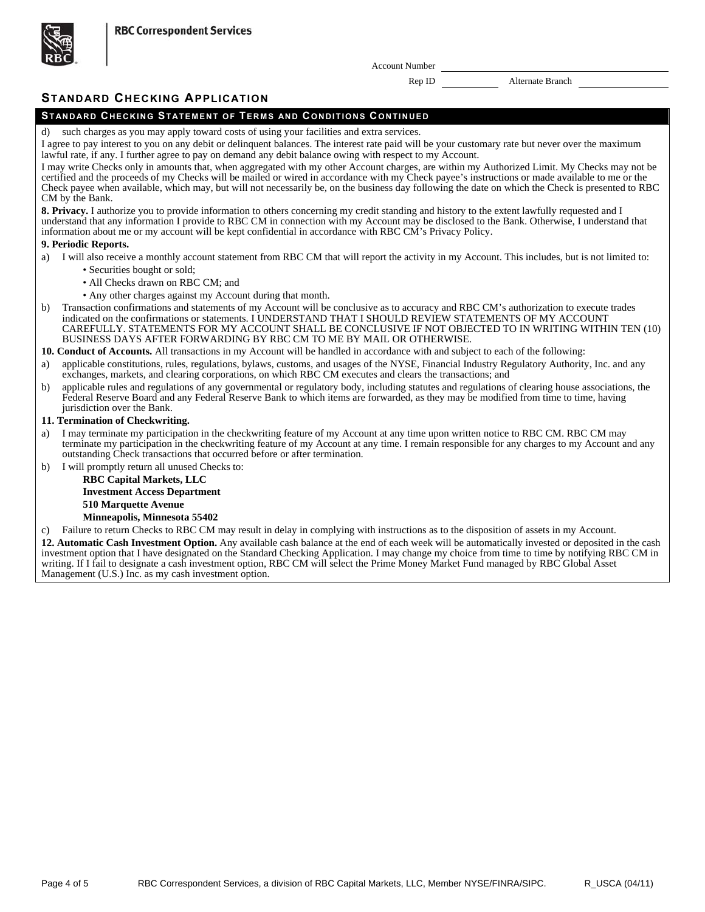**RBC Correspondent Services** 



Account Number

Rep ID Alternate Branch

# **STANDARD CHECKING APPLICATION**

# **STANDARD CHECKING STATEMENT OF TERMS AND CONDITIONS CONTINUED**

such charges as you may apply toward costs of using your facilities and extra services

I agree to pay interest to you on any debit or delinquent balances. The interest rate paid will be your customary rate but never over the maximum lawful rate, if any. I further agree to pay on demand any debit balance owing with respect to my Account.

I may write Checks only in amounts that, when aggregated with my other Account charges, are within my Authorized Limit. My Checks may not be certified and the proceeds of my Checks will be mailed or wired in accordance with my Check payee's instructions or made available to me or the Check payee when available, which may, but will not necessarily be, on the business day following the date on which the Check is presented to RBC CM by the Bank.

**8. Privacy.** I authorize you to provide information to others concerning my credit standing and history to the extent lawfully requested and I understand that any information I provide to RBC CM in connection with my Account may be disclosed to the Bank. Otherwise, I understand that information about me or my account will be kept confidential in accordance with RBC CM's Privacy Policy.

### **9. Periodic Reports.**

- a) I will also receive a monthly account statement from RBC CM that will report the activity in my Account. This includes, but is not limited to:
	- Securities bought or sold;
	- All Checks drawn on RBC CM; and
	- Any other charges against my Account during that month.
- b) Transaction confirmations and statements of my Account will be conclusive as to accuracy and RBC CM's authorization to execute trades indicated on the confirmations or statements. I UNDERSTAND THAT I SHOULD REVIEW STATEMENTS OF MY ACCOUNT CAREFULLY. STATEMENTS FOR MY ACCOUNT SHALL BE CONCLUSIVE IF NOT OBJECTED TO IN WRITING WITHIN TEN (10) BUSINESS DAYS AFTER FORWARDING BY RBC CM TO ME BY MAIL OR OTHERWISE.

**10. Conduct of Accounts.** All transactions in my Account will be handled in accordance with and subject to each of the following:

- a) applicable constitutions, rules, regulations, bylaws, customs, and usages of the NYSE, Financial Industry Regulatory Authority, Inc. and any exchanges, markets, and clearing corporations, on which RBC CM executes and clears the transactions; and
- b) applicable rules and regulations of any governmental or regulatory body, including statutes and regulations of clearing house associations, the Federal Reserve Board and any Federal Reserve Bank to which items are forwarded, as they may be modified from time to time, having jurisdiction over the Bank.

### **11. Termination of Checkwriting.**

- a) I may terminate my participation in the checkwriting feature of my Account at any time upon written notice to RBC CM. RBC CM may terminate my participation in the checkwriting feature of my Account at any time. I remain responsible for any charges to my Account and any outstanding Check transactions that occurred before or after termination.
- b) I will promptly return all unused Checks to:

## **RBC Capital Markets, LLC Investment Access Department 510 Marquette Avenue**

## **Minneapolis, Minnesota 55402**

c) Failure to return Checks to RBC CM may result in delay in complying with instructions as to the disposition of assets in my Account. **12. Automatic Cash Investment Option.** Any available cash balance at the end of each week will be automatically invested or deposited in the cash investment option that I have designated on the Standard Checking Application. I may change my choice from time to time by notifying RBC CM in writing. If I fail to designate a cash investment option, RBC CM will select the Prime Money Market Fund managed by RBC Global Asset

Management (U.S.) Inc. as my cash investment option.